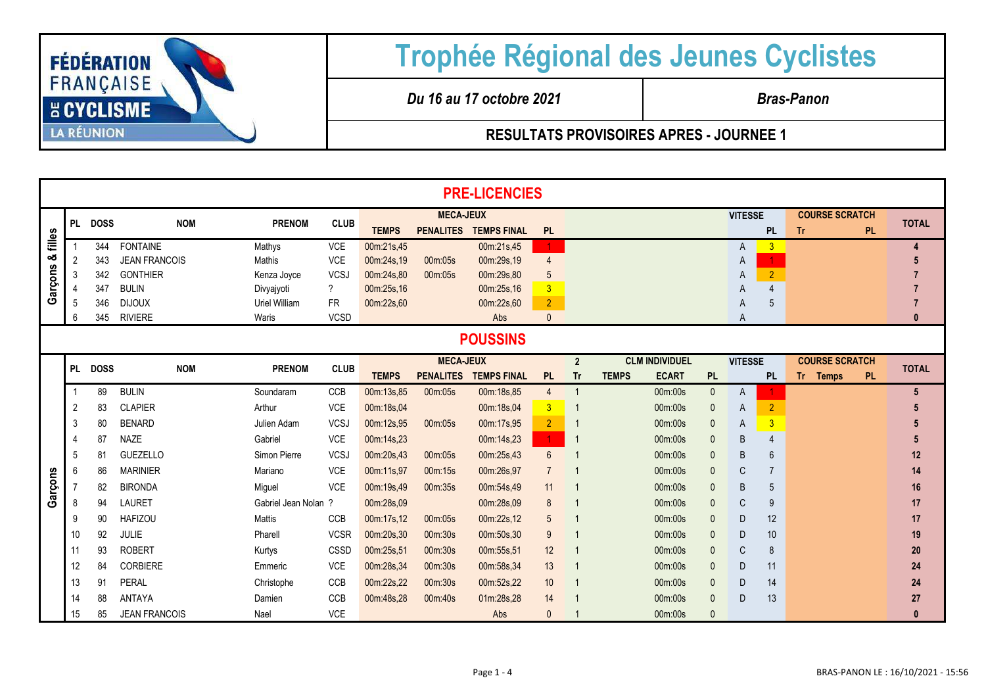

## **Trophée Régional des Jeunes Cyclistes**

*Du 16 au 17 octobre 2021 Bras-Panon*

**RESULTATS PROVISOIRES APRES - JOURNEE 1**

|         |                 |             |                      |                      |                          |                  |                  | <b>PRE-LICENCIES</b> |                |                |                              |              |                |                |                        |              |
|---------|-----------------|-------------|----------------------|----------------------|--------------------------|------------------|------------------|----------------------|----------------|----------------|------------------------------|--------------|----------------|----------------|------------------------|--------------|
|         |                 | PL DOSS     | <b>NOM</b>           | <b>PRENOM</b>        | <b>CLUB</b>              | <b>MECA-JEUX</b> |                  |                      |                |                |                              |              | <b>VITESSE</b> |                | <b>COURSE SCRATCH</b>  | <b>TOTAL</b> |
| filles  |                 |             |                      |                      |                          | <b>TEMPS</b>     | <b>PENALITES</b> | <b>TEMPS FINAL</b>   | <b>PL</b>      |                |                              |              |                | <b>PL</b>      | <b>Tr</b><br><b>PL</b> |              |
|         |                 | 344         | <b>FONTAINE</b>      | Mathys               | <b>VCE</b>               | 00m:21s,45       |                  | 00m:21s,45           | $\mathbf{1}$   |                |                              |              | A              | $\overline{3}$ |                        |              |
| య       | 2               | 343         | <b>JEAN FRANCOIS</b> | Mathis               | VCE                      | 00m:24s,19       | 00m:05s          | 00m:29s,19           | $\overline{4}$ |                |                              |              | A              |                |                        | 5            |
|         | 3               | 342         | <b>GONTHIER</b>      | Kenza Joyce          | <b>VCSJ</b>              | 00m:24s,80       | 00m:05s          | 00m:29s.80           | $\sqrt{5}$     |                |                              |              | A              | $\overline{2}$ |                        |              |
| Garçons |                 | 347         | <b>BULIN</b>         | Divyajyoti           | $\overline{\mathcal{C}}$ | 00m:25s,16       |                  | 00m:25s,16           | $\overline{3}$ |                |                              |              | A              | $\overline{4}$ |                        |              |
|         | .5              | 346         | <b>DIJOUX</b>        | Uriel William        | <b>FR</b>                | 00m:22s,60       |                  | 00m:22s,60           | 2 <sup>1</sup> |                |                              |              | A              | 5              |                        |              |
|         | 6               | 345         | <b>RIVIERE</b>       | Waris                | <b>VCSD</b>              |                  |                  | Abs                  | $\mathbf{0}$   |                |                              |              | Α              |                |                        | $\Omega$     |
|         | <b>POUSSINS</b> |             |                      |                      |                          |                  |                  |                      |                |                |                              |              |                |                |                        |              |
|         | <b>PL</b>       | <b>DOSS</b> | <b>NOM</b>           | <b>PRENOM</b>        | <b>CLUB</b>              |                  | <b>MECA-JEUX</b> |                      |                | $\overline{2}$ | <b>CLM INDIVIDUEL</b>        |              | <b>VITESSE</b> |                | <b>COURSE SCRATCH</b>  | <b>TOTAL</b> |
|         |                 |             |                      |                      |                          | <b>TEMPS</b>     | <b>PENALITES</b> | <b>TEMPS FINAL</b>   | <b>PL</b>      | <b>Tr</b>      | <b>ECART</b><br><b>TEMPS</b> | <b>PL</b>    |                | <b>PL</b>      | <b>PL</b><br>Tr Temps  |              |
|         |                 | 89          | <b>BULIN</b>         | Soundaram            | CCB                      | 00m:13s,85       | 00m:05s          | 00m:18s,85           | $\overline{4}$ | $\overline{1}$ | 00m:00s                      | $\mathbf 0$  | A              |                |                        | $\sqrt{5}$   |
|         | 2               | 83          | <b>CLAPIER</b>       | Arthur               | <b>VCE</b>               | 00m:18s,04       |                  | 00m:18s,04           | 3 <sup>2</sup> | -1             | 00m:00s                      | $\mathbf{0}$ | A              | $\overline{2}$ |                        |              |
|         | 3               | 80          | <b>BENARD</b>        | Julien Adam          | <b>VCSJ</b>              | 00m:12s,95       | 00m:05s          | 00m:17s,95           | 2 <sup>1</sup> |                | 00m:00s                      | $\mathbf{0}$ | A              | 3              |                        |              |
|         |                 | 87          | <b>NAZE</b>          | Gabriel              | <b>VCE</b>               | 00m:14s,23       |                  | 00m:14s,23           | $\mathbf{1}$   | $\overline{1}$ | 00m:00s                      | $\theta$     | B              | $\overline{4}$ |                        | 5            |
|         | 5               | 81          | <b>GUEZELLO</b>      | Simon Pierre         | <b>VCSJ</b>              | 00m:20s,43       | 00m:05s          | 00m:25s,43           | 6              |                | 00m:00s                      | $\theta$     | B              | 6              |                        | 12           |
|         | 6               | 86          | <b>MARINIER</b>      | Mariano              | <b>VCE</b>               | 00m:11s,97       | 00m:15s          | 00m:26s,97           | $\overline{7}$ |                | 00m:00s                      | $\Omega$     | C              | 7              |                        | 14           |
| Garçons |                 | 82          | <b>BIRONDA</b>       | Miguel               | VCE                      | 00m:19s,49       | 00m:35s          | 00m:54s,49           | 11             | -1             | 00m:00s                      | $\mathbf{0}$ | $\sf B$        | 5              |                        | 16           |
|         | 8               | 94          | <b>LAURET</b>        | Gabriel Jean Nolan ? |                          | 00m:28s,09       |                  | 00m:28s,09           | 8              |                | 00m:00s                      | $\mathbf{0}$ | C              | 9              |                        | 17           |
|         | ٩               | 90          | <b>HAFIZOU</b>       | Mattis               | <b>CCB</b>               | 00m:17s,12       | 00m:05s          | 00m:22s,12           | 5              | $\overline{1}$ | 00m:00s                      | $\mathbf{0}$ | D              | 12             |                        | 17           |
|         | 10              | 92          | JULIE                | Pharell              | <b>VCSR</b>              | 00m:20s,30       | 00m:30s          | 00m:50s,30           | 9              | $\overline{1}$ | 00m:00s                      | $\mathbf{0}$ | D              | 10             |                        | 19           |
|         | 11              | 93          | <b>ROBERT</b>        | Kurtys               | CSSD                     | 00m:25s,51       | 00m:30s          | 00m:55s,51           | 12             |                | 00m:00s                      | $\mathbf{0}$ | C              | 8              |                        | 20           |
|         | 12              | 84          | CORBIERE             | Emmeric              | <b>VCE</b>               | 00m:28s,34       | 00m:30s          | 00m:58s,34           | 13             | $\overline{1}$ | 00m:00s                      | $\mathbf{0}$ | D              | 11             |                        | 24           |
|         | 13              | 91          | PERAL                | Christophe           | CCB                      | 00m:22s,22       | 00m:30s          | 00m:52s,22           | 10             | $\overline{1}$ | 00m:00s                      | $\mathbf{0}$ | D              | 14             |                        | 24           |
|         |                 | 88          | ANTAYA               | Damien               | CCB                      | 00m:48s,28       | 00m:40s          | 01m:28s,28           | 14             |                | 00m:00s                      | $\mathbf{0}$ | D              | 13             |                        | 27           |
|         |                 | 85          | <b>JEAN FRANCOIS</b> | Nael                 |                          |                  |                  |                      |                |                | 00m:00s                      | $\mathbf{0}$ |                |                |                        | $\mathbf{0}$ |
|         | 15              |             |                      |                      | VCE                      |                  |                  | Abs                  | $\mathbf{0}$   |                |                              |              |                |                |                        |              |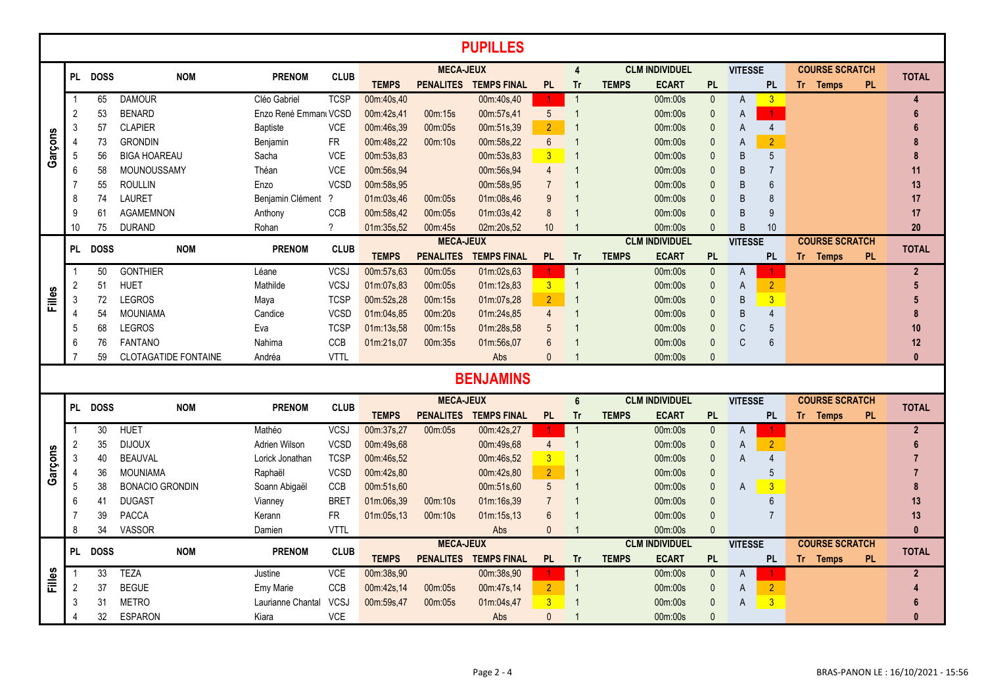|         |                  |             |                             |                       |             |              |                  | <b>PUPILLES</b>       |                |                |              |                                  |              |                |                |                       |                       |           |                |
|---------|------------------|-------------|-----------------------------|-----------------------|-------------|--------------|------------------|-----------------------|----------------|----------------|--------------|----------------------------------|--------------|----------------|----------------|-----------------------|-----------------------|-----------|----------------|
|         |                  |             |                             |                       |             |              | <b>MECA-JEUX</b> |                       |                | $\overline{4}$ |              | <b>CLM INDIVIDUEL</b>            |              | <b>VITESSE</b> |                |                       | <b>COURSE SCRATCH</b> |           |                |
|         |                  | PL DOSS     | <b>NOM</b>                  | <b>PRENOM</b>         | <b>CLUB</b> | <b>TEMPS</b> |                  | PENALITES TEMPS FINAL | <b>PL</b>      | <b>Tr</b>      | <b>TEMPS</b> | <b>ECART</b>                     | <b>PL</b>    |                | <b>PL</b>      |                       | Tr Temps              | <b>PL</b> | <b>TOTAL</b>   |
|         |                  | 65          | <b>DAMOUR</b>               | Cléo Gabriel          | <b>TCSP</b> | 00m:40s,40   |                  | 00m:40s,40            |                | $\overline{1}$ |              | 00m:00s                          | $\mathbf{0}$ | A              | 3              |                       |                       |           | $\overline{4}$ |
|         | 2                | 53          | <b>BENARD</b>               | Enzo René Emmanı VCSD |             | 00m:42s,41   | 00m:15s          | 00m:57s,41            | 5 <sup>5</sup> | $\overline{1}$ |              | 00m:00s                          | $\mathbf{0}$ | A              | $\mathbf{1}$   |                       |                       |           | 6              |
|         | 3                | 57          | <b>CLAPIER</b>              | <b>Baptiste</b>       | <b>VCE</b>  | 00m:46s,39   | 00m:05s          | 00m:51s,39            | $\overline{2}$ |                |              | 00m:00s                          | $\Omega$     | A              | $\overline{4}$ |                       |                       |           |                |
| Garçons | $\overline{4}$   | 73          | <b>GRONDIN</b>              | Benjamin              | <b>FR</b>   | 00m:48s,22   | 00m:10s          | 00m:58s,22            | $6\phantom{a}$ |                |              | 00m:00s                          | $\Omega$     | A              | $\overline{2}$ |                       |                       |           |                |
|         | 5                | 56          | <b>BIGA HOAREAU</b>         | Sacha                 | <b>VCE</b>  | 00m:53s,83   |                  | 00m:53s,83            | 3 <sup>5</sup> | -1             |              | 00m:00s                          |              | <sub>B</sub>   | $\overline{5}$ |                       |                       |           |                |
|         | 6                | 58          | MOUNOUSSAMY                 | Théan                 | <b>VCE</b>  | 00m:56s.94   |                  | 00m:56s.94            | $\overline{4}$ |                |              | 00 <sub>m</sub> :00 <sub>s</sub> |              | <sub>B</sub>   | $\overline{7}$ |                       |                       |           | 11             |
|         |                  | 55          | <b>ROULLIN</b>              | Enzo                  | <b>VCSD</b> | 00m:58s,95   |                  | 00m:58s.95            | $\overline{7}$ |                |              | 00m:00s                          |              | B              | 6              |                       |                       |           | 13             |
|         | 8                | 74          | <b>LAURET</b>               | Benjamin Clément ?    |             | 01m:03s,46   | 00m:05s          | 01m:08s,46            | 9              |                |              | 00m:00s                          |              | B              | 8              |                       |                       |           | 17             |
|         | 9                | 61          | <b>AGAMEMNON</b>            | Anthony               | CCB         | 00m:58s,42   | 00m:05s          | 01m:03s,42            | 8              |                |              | 00m:00s                          |              | B              | 9              |                       |                       |           | 17             |
|         | 10               | 75          | <b>DURAND</b>               | Rohan                 | $\gamma$    | 01m:35s,52   | 00m:45s          | 02m:20s,52            | 10             |                |              | 00m:00s                          | $\Omega$     | B              | 10             |                       |                       |           | 20             |
|         | <b>PL</b>        | <b>DOSS</b> | <b>NOM</b>                  | <b>PRENOM</b>         | <b>CLUB</b> |              | <b>MECA-JEUX</b> |                       |                |                |              | <b>CLM INDIVIDUEL</b>            |              | <b>VITESSE</b> |                | <b>COURSE SCRATCH</b> |                       |           | <b>TOTAL</b>   |
|         |                  |             |                             |                       |             | <b>TEMPS</b> | <b>PENALITES</b> | <b>TEMPS FINAL</b>    | <b>PL</b>      | Tr             | <b>TEMPS</b> | <b>ECART</b>                     | <b>PL</b>    |                | <b>PL</b>      |                       | Tr Temps              | <b>PL</b> |                |
|         |                  | 50          | <b>GONTHIER</b>             | Léane                 | <b>VCSJ</b> | 00m:57s,63   | 00m:05s          | 01m:02s,63            | 1              | $\overline{1}$ |              | 00m:00s                          | $\Omega$     | A              |                |                       |                       |           | $\overline{2}$ |
|         | 2                | 51          | <b>HUET</b>                 | Mathilde              | <b>VCSJ</b> | 01m:07s,83   | 00m:05s          | 01m:12s,83            | $\overline{3}$ | $\overline{1}$ |              | 00m:00s                          | $\mathbf{0}$ | A              | $\overline{2}$ |                       |                       |           | 5              |
| Filles  | $\mathbf{3}$     | 72          | <b>LEGROS</b>               | Maya                  | <b>TCSP</b> | 00m:52s,28   | 00m:15s          | 01m:07s.28            | 2 <sup>1</sup> |                |              | 00m:00s                          | $\Omega$     | B              | $\overline{3}$ |                       |                       |           | 5              |
|         | 4                | 54          | <b>MOUNIAMA</b>             | Candice               | <b>VCSD</b> | 01m:04s,85   | 00m:20s          | 01m:24s.85            | $\overline{4}$ |                |              | 00m:00s                          | $\Omega$     | B              | $\overline{4}$ |                       |                       |           | 8              |
|         | 5                | 68          | <b>LEGROS</b>               | Eva                   | <b>TCSP</b> | 01m:13s,58   | 00m:15s          | 01m:28s.58            | 5              |                |              | 00m:00s                          | $\Omega$     | C              | 5              |                       |                       |           | 10             |
|         | 6                | 76          | <b>FANTANO</b>              | Nahima                | CCB         | 01m:21s,07   | 00m:35s          | 01m:56s,07            | 6              |                |              | 00m:00s                          | $\Omega$     | C              | 6              |                       |                       |           | 12             |
|         | 7                | 59          | <b>CLOTAGATIDE FONTAINE</b> | Andréa                | <b>VTTL</b> |              |                  | Abs                   | $\mathbf{0}$   |                |              | 00m:00s                          | $\mathbf{0}$ |                |                |                       |                       |           | $\mathbf{0}$   |
|         | <b>BENJAMINS</b> |             |                             |                       |             |              |                  |                       |                |                |              |                                  |              |                |                |                       |                       |           |                |
|         |                  |             |                             |                       |             |              | <b>MECA-JEUX</b> |                       |                | $6\phantom{1}$ |              | <b>CLM INDIVIDUEL</b>            |              | <b>VITESSE</b> |                |                       | <b>COURSE SCRATCH</b> |           |                |
|         | <b>PL</b>        | <b>DOSS</b> | <b>NOM</b>                  | <b>PRENOM</b>         | <b>CLUB</b> | <b>TEMPS</b> | <b>PENALITES</b> | <b>TEMPS FINAL</b>    | <b>PL</b>      | Tr             | <b>TEMPS</b> | <b>ECART</b>                     | <b>PL</b>    |                | <b>PL</b>      |                       | Tr Temps              | <b>PL</b> | <b>TOTAL</b>   |
|         |                  | 30          | <b>HUET</b>                 | Mathéo                | <b>VCSJ</b> | 00m:37s,27   | 00m:05s          | 00m:42s,27            |                | $\overline{1}$ |              | 00m:00s                          | $\mathbf{0}$ | A              |                |                       |                       |           | $\overline{2}$ |
|         | 2                | 35          | <b>DIJOUX</b>               | Adrien Wilson         | VCSD        | 00m:49s,68   |                  | 00m:49s,68            | 4              |                |              | 00m:00s                          | $\mathbf 0$  | A              | $\overline{2}$ |                       |                       |           | 6              |
| Garçons | $\sqrt{3}$       | 40          | <b>BEAUVAL</b>              | Lorick Jonathan       | <b>TCSP</b> | 00m:46s,52   |                  | 00m:46s,52            | 3 <sup>1</sup> |                |              | 00m:00s                          | $\mathbf{0}$ | $\overline{A}$ | $\overline{4}$ |                       |                       |           |                |
|         | 4                | 36          | <b>MOUNIAMA</b>             | Raphaël               | <b>VCSD</b> | 00m:42s,80   |                  | 00m:42s,80            | 2 <sup>1</sup> |                |              | 00m:00s                          | $\mathbf{0}$ |                | 5              |                       |                       |           |                |
|         | 5                | 38          | <b>BONACIO GRONDIN</b>      | Soann Abigaël         | <b>CCB</b>  | 00m:51s.60   |                  | 00m:51s.60            | 5              |                |              | 00m:00s                          | $\mathbf{0}$ | A              | $\overline{3}$ |                       |                       |           | 8              |
|         | 6                | 41          | <b>DUGAST</b>               | Vianney               | <b>BRET</b> | 01m:06s,39   | 00m:10s          | 01m:16s,39            | $\overline{7}$ |                |              | 00m:00s                          | $\mathbf{0}$ |                | 6              |                       |                       |           | 13             |
|         | 7                | 39          | <b>PACCA</b>                | Kerann                | <b>FR</b>   | 01m:05s,13   | 00m:10s          | 01m:15s,13            | 6              |                |              | 00m:00s                          | $\Omega$     |                | $\overline{7}$ |                       |                       |           | 13             |
|         | 8                | 34          | VASSOR                      | Damien                | <b>VTTL</b> |              |                  | Abs                   | $\Omega$       |                |              | 00m:00s                          |              |                |                |                       |                       |           | $\mathbf{0}$   |
|         | <b>PL</b>        | <b>DOSS</b> |                             | <b>PRENOM</b>         | <b>CLUB</b> |              | <b>MECA-JEUX</b> |                       |                |                |              | <b>CLM INDIVIDUEL</b>            |              | <b>VITESSE</b> |                |                       | <b>COURSE SCRATCH</b> |           | <b>TOTAL</b>   |
|         |                  |             | <b>NOM</b>                  |                       |             | <b>TEMPS</b> |                  | PENALITES TEMPS FINAL | <b>PL</b>      | Tr             | <b>TEMPS</b> | <b>ECART</b>                     | <b>PL</b>    |                | <b>PL</b>      |                       | Tr Temps              | <b>PL</b> |                |
| Filles  |                  | 33          | <b>TEZA</b>                 | Justine               | VCE         | 00m:38s,90   |                  | 00m:38s,90            | 1.             | $\overline{1}$ |              | 00m:00s                          | $\mathbf{0}$ | A              |                |                       |                       |           | $\overline{2}$ |
|         | $\overline{2}$   | 37          | <b>BEGUE</b>                | Emv Marie             | CCB         | 00m:42s,14   | 00m:05s          | 00m:47s,14            | $\overline{2}$ | $\overline{1}$ |              | 00m:00s                          | $\mathbf{0}$ | A              | $\overline{2}$ |                       |                       |           |                |
|         | 3                | 31          | <b>METRO</b>                | Laurianne Chantal     | VCSJ        | 00m:59s,47   | 00m:05s          | 01m:04s,47            | $\overline{3}$ |                |              | 00m:00s                          | $\mathbf{0}$ | A              | $\overline{3}$ |                       |                       |           |                |
|         | 4                | 32          | <b>ESPARON</b>              | Kiara                 | <b>VCE</b>  |              |                  | Abs                   | $\mathbf{0}$   | -1             |              | 00m:00s                          | $\mathbf{0}$ |                |                |                       |                       |           | $\mathbf{0}$   |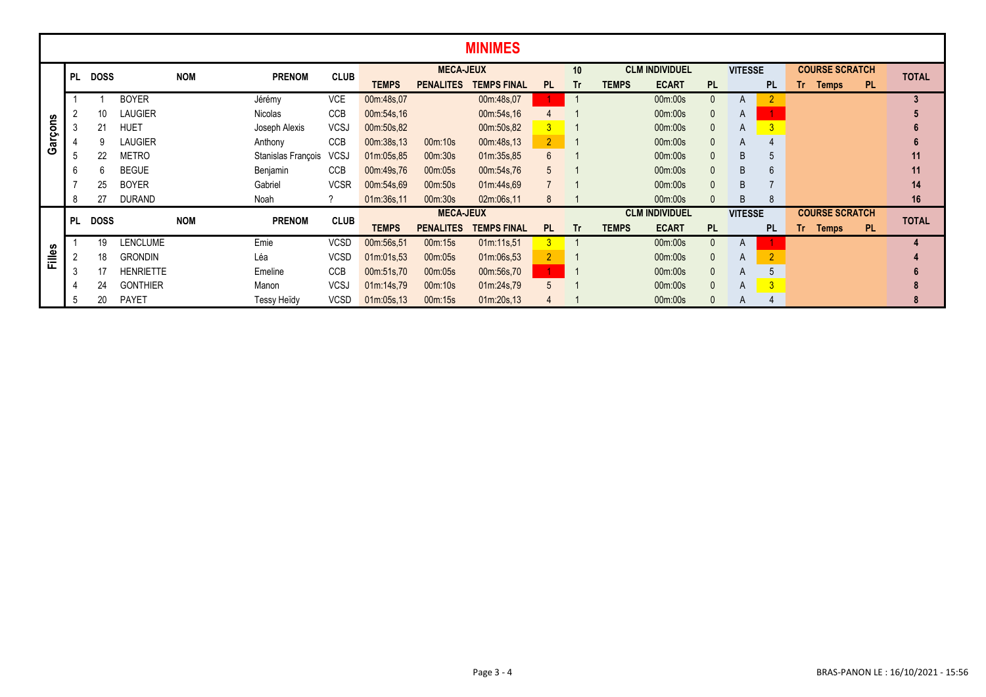|         | <b>MINIMES</b> |             |                  |            |                    |             |                  |                  |                    |                |                       |              |                       |              |                |                         |                       |           |              |
|---------|----------------|-------------|------------------|------------|--------------------|-------------|------------------|------------------|--------------------|----------------|-----------------------|--------------|-----------------------|--------------|----------------|-------------------------|-----------------------|-----------|--------------|
|         | <b>PL</b>      | <b>DOSS</b> |                  | <b>NOM</b> | <b>PRENOM</b>      | <b>CLUB</b> |                  | <b>MECA-JEUX</b> |                    |                | 10                    |              | <b>CLM INDIVIDUEL</b> |              | <b>VITESSE</b> |                         | <b>COURSE SCRATCH</b> |           | <b>TOTAL</b> |
|         |                |             |                  |            |                    |             | <b>TEMPS</b>     | <b>PENALITES</b> | <b>TEMPS FINAL</b> | PL.            | Tr                    | <b>TEMPS</b> | <b>ECART</b>          | <b>PL</b>    |                | <b>PL</b>               | Tr .<br><b>Temps</b>  | <b>PL</b> |              |
|         |                |             | <b>BOYER</b>     |            | Jérémy             | <b>VCE</b>  | 00m:48s,07       |                  | 00m:48s,07         |                |                       |              | 00m:00s               | $\Omega$     | A              |                         |                       |           | 3            |
|         |                | 10          | <b>LAUGIER</b>   |            | Nicolas            | CCB         | 00m:54s,16       |                  | 00m:54s,16         |                |                       |              | 00m:00s               | $\theta$     | A              |                         |                       |           |              |
|         | 3              | 21          | <b>HUET</b>      |            | Joseph Alexis      | <b>VCSJ</b> | 00m:50s,82       |                  | 00m:50s,82         | 3 <sup>1</sup> |                       |              | 00m:00s               | $\mathbf{0}$ | A              | $\overline{3}$          |                       |           |              |
| Garçons |                | 9           | <b>LAUGIER</b>   |            | Anthony            | <b>CCB</b>  | 00m:38s,13       | 00m:10s          | 00m:48s,13         | 2 <sup>1</sup> |                       |              | 00m:00s               | $\mathbf{0}$ | A              | 4                       |                       |           |              |
|         | 5              | 22          | <b>METRO</b>     |            | Stanislas François | <b>VCSJ</b> | 01m:05s,85       | 00m:30s          | 01m:35s,85         | $6^{\circ}$    |                       |              | 00m:00s               | $\Omega$     | B              | 5                       |                       |           | 11           |
|         | 6              | 6           | <b>BEGUE</b>     |            | Benjamin           | CCB         | 00m:49s,76       | 00m:05s          | 00m:54s,76         | 5              |                       |              | 00m:00s               |              | B              | 6                       |                       |           | 11           |
|         |                | 25          | <b>BOYER</b>     |            | Gabriel            | <b>VCSR</b> | 00m:54s,69       | 00m:50s          | 01m:44s,69         |                |                       |              | 00m:00s               | $\Omega$     | B              |                         |                       |           | 14           |
|         | 8              | 27          | <b>DURAND</b>    |            | Noah               |             | 01m:36s,11       | 00m:30s          | 02m:06s,11         | 8              |                       |              | 00m:00s               |              | B              | 8                       |                       |           | 16           |
|         | PL             | <b>DOSS</b> |                  | <b>NOM</b> | <b>PRENOM</b>      | <b>CLUB</b> | <b>MECA-JEUX</b> |                  |                    |                | <b>CLM INDIVIDUEL</b> |              |                       |              | <b>VITESSE</b> |                         | <b>COURSE SCRATCH</b> |           | <b>TOTAL</b> |
|         |                |             |                  |            |                    |             | <b>TEMPS</b>     | <b>PENALITES</b> | <b>TEMPS FINAL</b> | <b>PL</b>      | <b>Tr</b>             | <b>TEMPS</b> | <b>ECART</b>          | <b>PL</b>    |                | <b>PL</b>               | Tr<br><b>Temps</b>    | <b>PL</b> |              |
|         |                | 19          | <b>LENCLUME</b>  |            | Emie               | <b>VCSD</b> | 00m:56s,51       | 00m:15s          | 01m:11s,51         | 3 <sup>1</sup> |                       |              | 00m:00s               | $\mathbf{0}$ | A              |                         |                       |           |              |
| Filles  | $\overline{2}$ | 18          | <b>GRONDIN</b>   |            | Léa                | <b>VCSD</b> | 01m:01s,53       | 00m:05s          | 01m:06s,53         | 2 <sup>2</sup> |                       |              | 00m:00s               | $\theta$     | A              | $\overline{2}$          |                       |           |              |
|         | 3              | 17          | <b>HENRIETTE</b> |            | Emeline            | <b>CCB</b>  | 00m:51s,70       | 00m:05s          | 00m:56s,70         | 1 <sup>1</sup> |                       |              | 00m:00s               | $\theta$     | A              | 5                       |                       |           |              |
|         | 4              | 24          | <b>GONTHIER</b>  |            | Manon              | <b>VCSJ</b> | 01m:14s,79       | 00m:10s          | 01m:24s,79         | 5              |                       |              | 00m:00s               | $\mathbf{0}$ | A              | $\overline{\mathbf{3}}$ |                       |           | 8            |
|         | .b             | 20          | <b>PAYET</b>     |            | Tessy Heïdy        | <b>VCSD</b> | 01m:05s,13       | 00m:15s          | 01m:20s.13         |                |                       |              | 00m:00s               | $\Omega$     | A              |                         |                       |           |              |